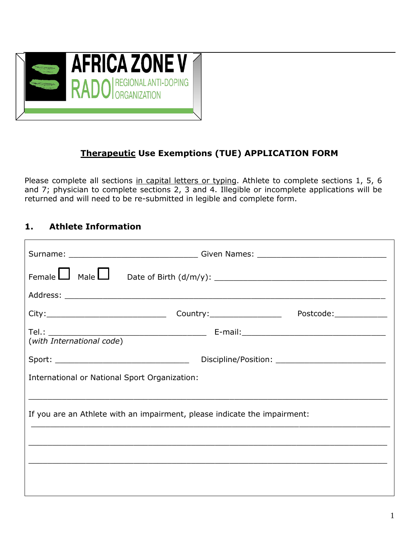

## **Therapeutic Use Exemptions (TUE) APPLICATION FORM**

Please complete all sections in capital letters or typing. Athlete to complete sections 1, 5, 6 and 7; physician to complete sections 2, 3 and 4. Illegible or incomplete applications will be returned and will need to be re-submitted in legible and complete form.

### **1. Athlete Information**

|                                                                           | Surname: ___________________________________Given Names: ________________________ |  |  |
|---------------------------------------------------------------------------|-----------------------------------------------------------------------------------|--|--|
|                                                                           |                                                                                   |  |  |
|                                                                           |                                                                                   |  |  |
|                                                                           | Postcode:_____________                                                            |  |  |
|                                                                           |                                                                                   |  |  |
|                                                                           |                                                                                   |  |  |
| International or National Sport Organization:                             |                                                                                   |  |  |
| If you are an Athlete with an impairment, please indicate the impairment: |                                                                                   |  |  |
|                                                                           |                                                                                   |  |  |
|                                                                           |                                                                                   |  |  |
|                                                                           |                                                                                   |  |  |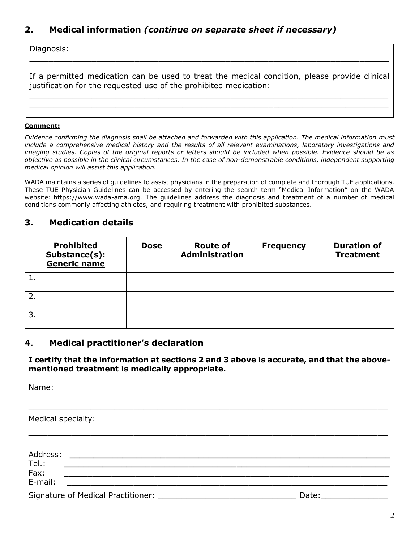### **2. Medical information** *(continue on separate sheet if necessary)*

Diagnosis:

If a permitted medication can be used to treat the medical condition, please provide clinical justification for the requested use of the prohibited medication:

\_\_\_\_\_\_\_\_\_\_\_\_\_\_\_\_\_\_\_\_\_\_\_\_\_\_\_\_\_\_\_\_\_\_\_\_\_\_\_\_\_\_\_\_\_\_\_\_\_\_\_\_\_\_\_\_\_\_\_\_\_\_\_\_\_\_\_\_\_\_\_\_\_\_\_ \_\_\_\_\_\_\_\_\_\_\_\_\_\_\_\_\_\_\_\_\_\_\_\_\_\_\_\_\_\_\_\_\_\_\_\_\_\_\_\_\_\_\_\_\_\_\_\_\_\_\_\_\_\_\_\_\_\_\_\_\_\_\_\_\_\_\_\_\_\_\_\_\_\_\_

\_\_\_\_\_\_\_\_\_\_\_\_\_\_\_\_\_\_\_\_\_\_\_\_\_\_\_\_\_\_\_\_\_\_\_\_\_\_\_\_\_\_\_\_\_\_\_\_\_\_\_\_\_\_\_\_\_\_\_\_\_\_\_\_\_\_\_\_\_\_\_\_\_\_\_

#### **Comment:**

*Evidence confirming the diagnosis shall be attached and forwarded with this application. The medical information must include a comprehensive medical history and the results of all relevant examinations, laboratory investigations and*  imaging studies. Copies of the original reports or letters should be included when possible. Evidence should be as *objective as possible in the clinical circumstances. In the case of non-demonstrable conditions, independent supporting medical opinion will assist this application.*

WADA maintains a series of guidelines to assist physicians in the preparation of complete and thorough TUE applications. These TUE Physician Guidelines can be accessed by entering the search term "Medical Information" on the WADA website: https://www.wada-ama.org. The guidelines address the diagnosis and treatment of a number of medical conditions commonly affecting athletes, and requiring treatment with prohibited substances.

#### **3. Medication details**

|    | <b>Prohibited</b><br>Substance(s):<br>Generic name | <b>Dose</b> | <b>Route of</b><br><b>Administration</b> | <b>Frequency</b> | <b>Duration of</b><br><b>Treatment</b> |
|----|----------------------------------------------------|-------------|------------------------------------------|------------------|----------------------------------------|
|    |                                                    |             |                                          |                  |                                        |
|    |                                                    |             |                                          |                  |                                        |
| 3. |                                                    |             |                                          |                  |                                        |

#### **4**. **Medical practitioner's declaration**

**I certify that the information at sections 2 and 3 above is accurate, and that the abovementioned treatment is medically appropriate.** 

Name:

| Medical specialty:                                                                |  |  |  |  |
|-----------------------------------------------------------------------------------|--|--|--|--|
| Address:<br>Tel.:<br>Fax:<br>E-mail:                                              |  |  |  |  |
| Signature of Medical Practitioner: Network and Signature of Medical Practitioner: |  |  |  |  |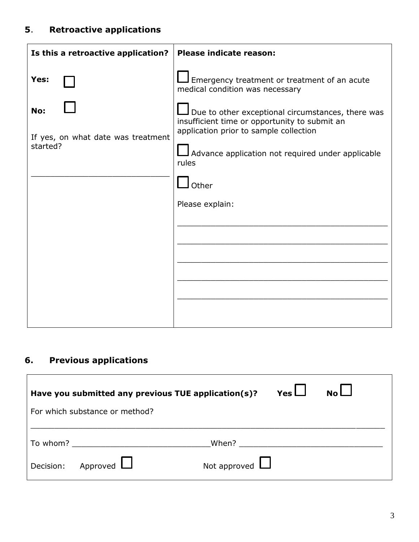# **5**. **Retroactive applications**

| Is this a retroactive application?                    | <b>Please indicate reason:</b>                                                                                                                      |
|-------------------------------------------------------|-----------------------------------------------------------------------------------------------------------------------------------------------------|
| Yes:                                                  | $\blacksquare$ Emergency treatment or treatment of an acute<br>medical condition was necessary                                                      |
| No:<br>If yes, on what date was treatment<br>started? | $\Box$ Due to other exceptional circumstances, there was<br>insufficient time or opportunity to submit an<br>application prior to sample collection |
|                                                       | Advance application not required under applicable<br>rules                                                                                          |
|                                                       | Other                                                                                                                                               |
|                                                       | Please explain:                                                                                                                                     |
|                                                       |                                                                                                                                                     |
|                                                       |                                                                                                                                                     |
|                                                       |                                                                                                                                                     |
|                                                       |                                                                                                                                                     |
|                                                       |                                                                                                                                                     |

# **6. Previous applications**

| Yes $\Box$<br>$No\Box$<br>Have you submitted any previous TUE application(s)? |                                           |  |  |
|-------------------------------------------------------------------------------|-------------------------------------------|--|--|
| For which substance or method?                                                |                                           |  |  |
| To whom?                                                                      | When?                                     |  |  |
|                                                                               | Decision: Approved<br>Not approved $\Box$ |  |  |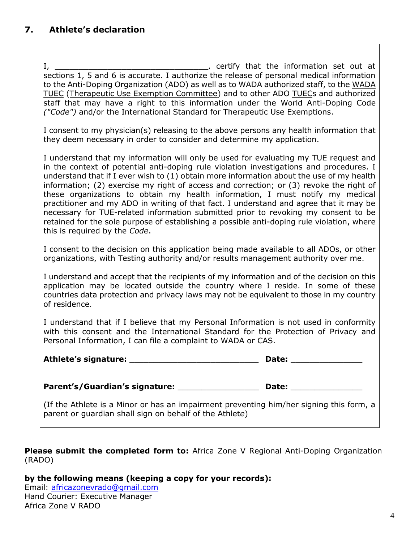### **7. Athlete's declaration**

I, \_\_\_\_\_\_\_\_\_\_\_\_\_\_\_\_\_\_\_\_\_\_\_\_\_\_\_\_\_\_\_\_, certify that the information set out at sections 1, 5 and 6 is accurate. I authorize the release of personal medical information to the Anti-Doping Organization (ADO) as well as to WADA authorized staff, to the WADA TUEC (Therapeutic Use Exemption Committee) and to other ADO TUECs and authorized staff that may have a right to this information under the World Anti-Doping Code *("Code")* and/or the International Standard for Therapeutic Use Exemptions.

I consent to my physician(s) releasing to the above persons any health information that they deem necessary in order to consider and determine my application.

I understand that my information will only be used for evaluating my TUE request and in the context of potential anti-doping rule violation investigations and procedures. I understand that if I ever wish to (1) obtain more information about the use of my health information; (2) exercise my right of access and correction; or (3) revoke the right of these organizations to obtain my health information, I must notify my medical practitioner and my ADO in writing of that fact. I understand and agree that it may be necessary for TUE-related information submitted prior to revoking my consent to be retained for the sole purpose of establishing a possible anti-doping rule violation, where this is required by the *Code*.

I consent to the decision on this application being made available to all ADOs, or other organizations, with Testing authority and/or results management authority over me.

I understand and accept that the recipients of my information and of the decision on this application may be located outside the country where I reside. In some of these countries data protection and privacy laws may not be equivalent to those in my country of residence.

I understand that if I believe that my Personal Information is not used in conformity with this consent and the International Standard for the Protection of Privacy and Personal Information, I can file a complaint to WADA or CAS.

| <b>Athlete's signature:</b> |  | Date: |
|-----------------------------|--|-------|
|-----------------------------|--|-------|

**Parent's/Guardian's signature:** \_\_\_\_\_\_\_\_\_\_\_\_\_\_\_\_\_ **Date:** \_\_\_\_\_\_\_\_\_\_\_\_\_\_\_

(If the Athlete is a Minor or has an impairment preventing him/her signing this form, a parent or guardian shall sign on behalf of the Athlet*e*)

**Please submit the completed form to:** Africa Zone V Regional Anti-Doping Organization (RADO)

**by the following means (keeping a copy for your records):** Email: [africazonevrado@gmail.com](mailto:africazonevrado@gmail.com) Hand Courier: Executive Manager Africa Zone V RADO